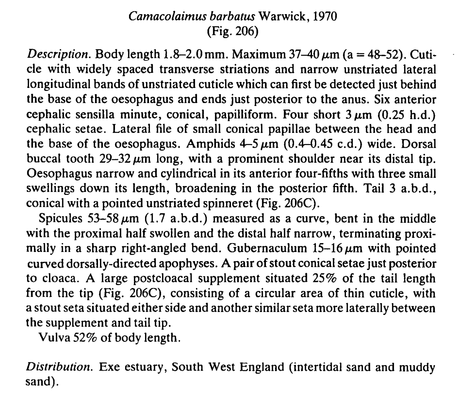## Camacolaimus barbatus Warwick, 1970 (Fig. 206)

*Description.* Body length  $1.8-2.0$  mm. Maximum  $37-40 \mu$ m (a = 48-52). Cuticle with widely spaced transverse striations and narrow unstriated lateral longitudinal bands of unstriated cuticle which can first be detected just behind the base of the oesophagus and ends just posterior to the anus. Six anterior cephalic sensilla minute, conical, papilliform. Four short  $3 \mu m$  (0.25 h.d.) cephalic setae. Lateral file of small conical papillae between the head and the base of the oesophagus. Amphids  $4-5 \mu m$  (0.4-0.45 c.d.) wide. Dorsal buccal tooth  $29-32 \mu m$  long, with a prominent shoulder near its distal tip. Oesophagus narrow and cylindrical in its anterior four-fifths with three small swellings down its length, broadening in the posterior fifth. Tail 3 a.b.d., conical with a pointed unstriated spinneret (Fig. 206C).

Spicules  $53-58 \mu m$  (1.7 a.b.d.) measured as a curve, bent in the middle with the proximal half swollen and the distal half narrow, terminating proximally in a sharp right-angled bend. Gubernaculum  $15-16 \mu m$  with pointed curved dorsally-directed apophyses. A pair of stout conical setae just posterior to cloaca. A large postcloacal supplement situated 25% of the tail length from the tip (Fig. 206C), consisting of a circular area of thin cuticle, with a stout seta situated either side and another similar seta more laterally between the supplement and tail tip.

Vulva 52% of body length.

Distribution. Exe estuary, South West England (intertidal sand and muddy sand).